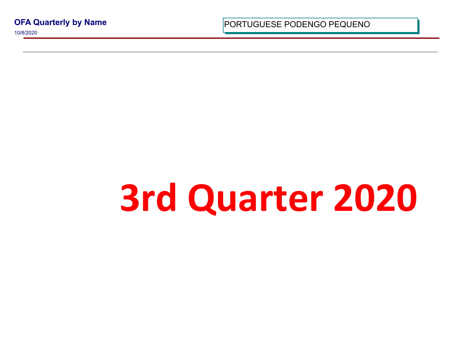**OFA Quarterly by Name**

10/8/2020

PORTUGUESE PODENGO PEQUI

## **3rd Quarter 2**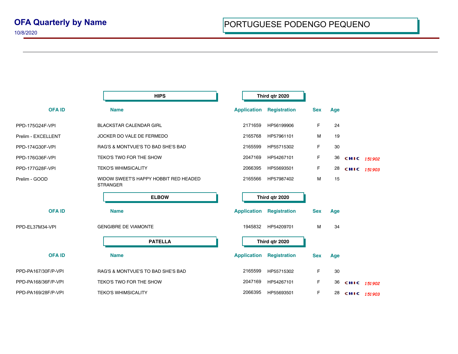|                     | <b>HIPS</b>                                              | Third qtr 2020                                                 |
|---------------------|----------------------------------------------------------|----------------------------------------------------------------|
| <b>OFA ID</b>       | <b>Name</b>                                              | <b>Application</b><br><b>Registration</b><br><b>Sex</b><br>Age |
| PPD-175G24F-VPI     | <b>BLACKSTAR CALENDAR GIRL</b>                           | 2171659<br>F<br>24<br>HP56199906                               |
| Prelim - EXCELLENT  | JOCKER DO VALE DE FERMEDO                                | 2165768<br>M<br>HP57961101<br>19                               |
| PPD-174G30F-VPI     | RAG'S & MONTVUE'S TO BAD SHE'S BAD                       | F<br>30<br>2165599<br>HP55715302                               |
| PPD-176G36F-VPI     | TEKO'S TWO FOR THE SHOW                                  | 2047169<br>F<br>HP54267101<br>36<br>CHIC 151902                |
| PPD-177G28F-VPI     | <b>TEKO'S WHIMSICALITY</b>                               | 2066395<br>F<br>HP55693501<br>28<br>CHIC 151903                |
| Prelim - GOOD       | WIDOW SWEET'S HAPPY HOBBIT RED HEADED<br><b>STRANGER</b> | 2165566<br>М<br>15<br>HP57987402                               |
|                     | <b>ELBOW</b>                                             | Third qtr 2020                                                 |
| <b>OFA ID</b>       | <b>Name</b>                                              | <b>Application</b><br><b>Registration</b><br><b>Sex</b><br>Age |
| PPD-EL37M34-VPI     | <b>GENGIBRE DE VIAMONTE</b>                              | 1945832<br>HP54209701<br>M<br>34                               |
|                     | <b>PATELLA</b>                                           | Third qtr 2020                                                 |
| <b>OFA ID</b>       | <b>Name</b>                                              | <b>Application</b><br><b>Registration</b><br><b>Sex</b><br>Age |
| PPD-PA167/30F/P-VPI | RAG'S & MONTVUE'S TO BAD SHE'S BAD                       | 2165599<br>F<br>HP55715302<br>30                               |
| PPD-PA168/36F/P-VPI | TEKO'S TWO FOR THE SHOW                                  | 2047169<br>F<br>HP54267101<br>36<br>CHIC 151902                |
| PPD-PA169/28F/P-VPI | <b>TEKO'S WHIMSICALITY</b>                               | F<br>2066395<br>HP55693501<br>28<br>CHIC 151903                |